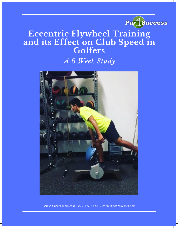

# **Eccentric Flywheel Training and its Effect on Club Speed in Golfers** *A 6 Week Study*



*www.par4success.com / 919 377 3840 / chris@par4success.com*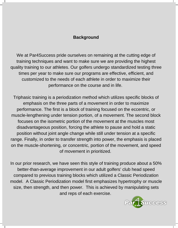## **Background**

We at Par4Success pride ourselves on remaining at the cutting edge of training techniques and want to make sure we are providing the highest quality training to our athletes. Our golfers undergo standardized testing three times per year to make sure our programs are effective, efficient, and customized to the needs of each athlete in order to maximize their performance on the course and in life.

Triphasic training is a periodization method which utilizes specific blocks of emphasis on the three parts of a movement in order to maximize performance. The first is a block of training focused on the eccentric, or muscle-lengthening under tension portion, of a movement. The second block focuses on the isometric portion of the movement at the muscles most disadvantageous position, forcing the athlete to pause and hold a static position without joint angle change while still under tension at a specific range. Finally, in order to transfer strength into power, the emphasis is placed on the muscle-shortening, or concentric, portion of the movement, and speed of movement in prioritized.

In our prior research, we have seen this style of training produce about a 50% better-than-average improvement in our adult golfers' club head speed compared to previous training blocks which utilized a Classic Periodization model. A Classic Periodization model first emphasizes hypertrophy or muscle size, then strength, and then power. This is achieved by manipulating sets and reps of each exercise.

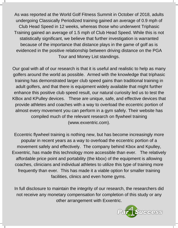As was reported at the World Golf Fitness Summit in October of 2018, adults undergoing Classically Periodized training gained an average of 0.9 mph of Club Head Speed in 12 weeks, whereas those who underwent Triphasic Training gained an average of 1.5 mph of Club Head Speed. While this is not statistically significant, we believe that further investigation is warranted because of the importance that distance plays in the game of golf as is evidenced in the positive relationship between driving distance on the PGA Tour and Money List standings.

Our goal with all of our research is that it is useful and realistic to help as many golfers around the world as possible. Armed with the knowledge that triphasic training has demonstrated larger club speed gains than traditional training in adult golfers, and that there is equipment widely available that might further enhance this positive club speed result, our natural curiosity led us to test the KBox and KPulley devices. These are unique, safe, and effective devices that provide athletes and coaches with a way to overload the eccentric portion of almost every movement you can perform in a gym safely. Their website has compiled much of the relevant research on flywheel training (www.exxentric.com).

Eccentric flywheel training is nothing new, but has become increasingly more popular in recent years as a way to overload the eccentric portion of a movement safely and effectively. The company behind Kbox and Kpulley, Exxentric, has made this technology more accessible than ever. The relatively affordable price point and portability (the kbox) of the equipment is allowing coaches, clinicians and individual athletes to utilize this type of training more frequently than ever. This has made it a viable option for smaller training facilities, clinics and even home gyms.

In full disclosure to maintain the integrity of our research, the researchers did not receive any monetary compensation for completion of this study or any other arrangement with Exxentric.

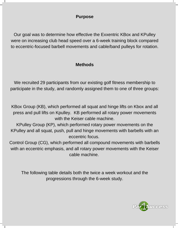#### **Purpose**

Our goal was to determine how effective the Exxentric KBox and KPulley were on increasing club head speed over a 6-week training block compared to eccentric-focused barbell movements and cable/band pulleys for rotation.

## **Methods**

We recruited 29 participants from our existing golf fitness membership to participate in the study, and randomly assigned them to one of three groups:

KBox Group (KB), which performed all squat and hinge lifts on Kbox and all press and pull lifts on Kpulley. KB performed all rotary power movements with the Keiser cable machine.

KPulley Group (KP), which performed rotary power movements on the KPulley and all squat, push, pull and hinge movements with barbells with an eccentric focus.

Control Group (CG), which performed all compound movements with barbells with an eccentric emphasis, and all rotary power movements with the Keiser cable machine.

The following table details both the twice a week workout and the progressions through the 6-week study.

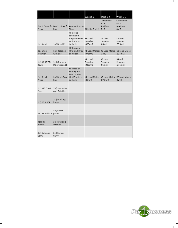|                        |                                |                                                                                       | <b>Week 1-2</b>                | Week 3-4                                                          | <b>Week 5-6</b>                       |
|------------------------|--------------------------------|---------------------------------------------------------------------------------------|--------------------------------|-------------------------------------------------------------------|---------------------------------------|
| Press                  | Row                            | Day 1: Squat & Day 2: Hinge & Applicationsto<br>Study                                 | All Lifts: 3 x 12              | Compound:<br>$4 \times 8$<br>Auxiliary:<br>3x8                    | Compound:<br>4x5<br>Auxiliary:<br>3x6 |
| 1a.) Squat             | 1a.) Deadlift                  | KB Group<br>Squat and<br>Hinge on KBox, KB Load<br>KP/CG both on Females:<br>barbells | .025mr2                        | KB Load<br>Females:<br>.05mr2                                     | KB Load<br>Females:<br>.075mr2        |
| 2b.) Chop<br>low/high  | 1b.) Rotation<br>with Bar      | <b>KP</b> Group on<br>KPulley, KB/CG<br>on Keiser                                     | .075mr2                        | KB Load Males: KB Load Males: KB Load Males:<br>.1 <sub>mr2</sub> | .125mr2                               |
| 1c.) SA KB TRX<br>Rows | 1c.) One arm<br>DB press on SB |                                                                                       | KP Load<br>Females:<br>.025mr2 | KP Load<br>Females:<br>.05mr2                                     | <b>B</b> Load<br>Females:<br>.075mr2  |
| 2a.) Bench<br>Press    | 2a.) Bent Over<br>Row          | KB Press on<br>KPulley and<br>Row on KBox,<br>KP/CG both on<br>barbells               | .05mr2                         | KP Load Males: KP Load Males: KP Load Males:<br>.075mr2           | .1 <sub>mr2</sub>                     |
| 2b.) MB Chest<br>Pass  | 2b.) Landmine<br>Anti-Rotation |                                                                                       |                                |                                                                   |                                       |
| 2c.) KB SLRDL          | 2c.) Walking<br>lunge          |                                                                                       |                                |                                                                   |                                       |
| 3a.) BB Rollout plank  | 3a.) Slider                    |                                                                                       |                                |                                                                   |                                       |
| 3b) Bike<br>interval   | 3b) Row/bike<br>interval       |                                                                                       |                                |                                                                   |                                       |
| 3c.) Suitcase<br>Carry | 3c.) Farmer<br>Carry           |                                                                                       |                                |                                                                   |                                       |

 $\overline{a}$ 

 $\overline{\phantom{a}}$ 



 $\frac{1}{\sqrt{2}}$ 

 $\frac{1}{\sqrt{2}}$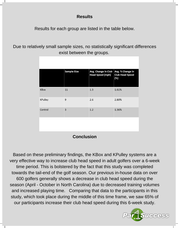# **Results**

Results for each group are listed in the table below.

Due to relatively small sample sizes, no statistically significant differences exist between the groups.

|                | <b>Sample Size</b> | Avg. Change in Club<br><b>Head Speed (mph)</b> | Avg. % Change in<br><b>Club Head Speed</b><br>(%) |
|----------------|--------------------|------------------------------------------------|---------------------------------------------------|
| <b>KBox</b>    | 11                 | 1.3                                            | 1.61%                                             |
| <b>KPulley</b> | 9                  | 2.6                                            | 2.80%                                             |
| Control        | 3                  | 1.2                                            | 1.36%                                             |
|                |                    |                                                |                                                   |
|                |                    |                                                |                                                   |

**Conclusion**

Based on these preliminary findings, the KBox and KPulley systems are a very effective way to increase club head speed in adult golfers over a 6-week time period. This is bolstered by the fact that this study was completed towards the tail-end of the golf season. Our previous in-house data on over 600 golfers generally shows a decrease in club head speed during the season (April - October in North Carolina) due to decreased training volumes and increased playing time. Comparing that data to the participants in this study, which took place during the middle of this time frame, we saw 65% of our participants increase their club head speed during this 6-week study.

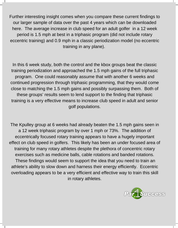Further interesting insight comes when you compare these current findings to our larger sample of data over the past 4 years which can be downloaded here. The average increase in club speed for an adult golfer in a 12 week period is 1.5 mph at best in a triphasic program (did not include rotary eccentric training) and 0.9 mph in a classic periodization model (no eccentric training in any plane).

In this 6 week study, both the control and the kbox groups beat the classic training periodization and approached the 1.5 mph gains of the full triphasic program. One could reasonably assume that with another 6 weeks and continued progression through triphasic programming, that they would come close to matching the 1.5 mph gains and possibly surpassing them. Both of these groups' results seem to lend support to the finding that triphasic training is a very effective means to increase club speed in adult and senior golf populations.

The Kpulley group at 6 weeks had already beaten the 1.5 mph gains seen in a 12 week triphasic program by over 1 mph or 73%. The addition of eccentrically focused rotary training appears to have a hugely important effect on club speed in golfers. This likely has been an under focused area of training for many rotary athletes despite the plethora of concentric rotary exercises such as medicine balls, cable rotations and banded rotations. These findings would seem to support the idea that you need to train an athlete's ability to slow down and harness their energy efficiently. Eccentric overloading appears to be a very efficient and effective way to train this skill in rotary athletes.

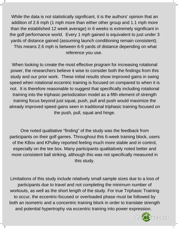While the data is not statistically significant, it is the authors' opinion that an addition of 2.6 mph (1 mph more than either other group and 1.1 mph more than the established 12 week average) in 6 weeks is extremely significant in the golf performance world. Every 1 mph gained is equivalent to just under 3 yards of distance gained (assuming launch conditioning remain consistent). This means 2.6 mph is between 6-9 yards of distance depending on what reference you use.

When looking to create the most effective program for increasing rotational power, the researchers believe it wise to consider both the findings from this study and our prior work. These initial results show improved gains in swing speed when rotational eccentric training is focused on compared to when it is not. It is therefore reasonable to suggest that specifically including rotational training into the triphasic periodization model as a fifth element of strength training focus beyond just squat, push, pull and push would maximize the already improved speed gains seen in traditional triphasic training focused on the push, pull, squat and hinge.

One noted qualitative "finding" of the study was the feedback from participants on their golf games. Throughout this 6-week training block, users of the KBox and KPulley reported feeling much more stable and in control, especially on the tee box. Many participants qualitatively noted better and more consistent ball striking, although this was not specifically measured in this study.

Limitations of this study include relatively small sample sizes due to a loss of participants due to travel and not completing the minimum number of workouts, as well as the short length of the study. For true Triphasic Training to occur, the eccentric-focused or overloaded phase must be followed by both an isometric and a concentric training block in order to translate strength and potential hypertrophy via eccentric training into power expression.

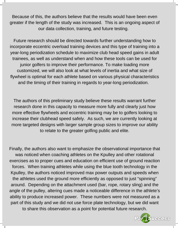Because of this, the authors believe that the results would have been even greater if the length of the study was increased. This is an ongoing aspect of our data collection, training, and future testing.

Future research should be directed towards further understanding how to incorporate eccentric overload training devices and this type of training into a year-long periodization schedule to maximize club head speed gains in adult trainees, as well as understand when and how these tools can be used for junior golfers to improve their performance. To make loading more customized, we will also look at what levels of inertia and what size of flywheel is optimal for each athlete based on various physical characteristics and the timing of their training in regards to year-long periodization.

The authors of this preliminary study believe these results warrant further research done in this capacity to measure more fully and clearly just how more effective flywheels and eccentric training may be to golfers looking to increase their clubhead speed safely. As such, we are currently looking at more targeted designs with larger sample group sizes to improve our ability to relate to the greater golfing public and elite.

Finally, the authors also want to emphasize the observational importance that was noticed when coaching athletes on the Kpulley and other rotational exercises as to proper cues and education on efficient use of ground reaction forces. When training athletes while using the blue tooth technology in the Kpulley, the authors noticed improved max power outputs and speeds when the athletes used the ground more efficiently as opposed to just "spinning" around. Depending on the attachment used (bar, rope, rotary sling) and the angle of the pulley, altering cues made a noticeable difference in the athlete's ability to produce increased power. These numbers were not measured as a part of this study and we did not use force plate technology, but we did want to share this observation as a point for potential future research.